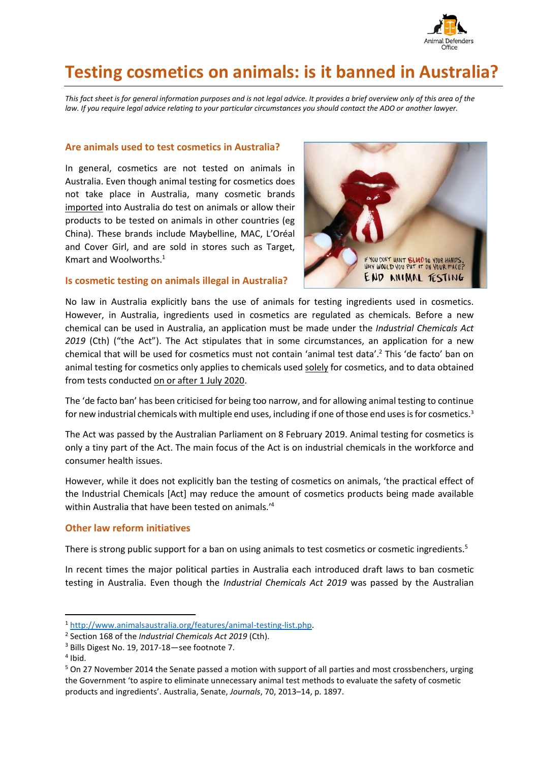

# **Testing cosmetics on animals: is it banned in Australia?**

*This fact sheet is for general information purposes and is not legal advice. It provides a brief overview only of this area of the law. If you require legal advice relating to your particular circumstances you should contact the ADO or another lawyer.* 

## **Are animals used to test cosmetics in Australia?**

In general, cosmetics are not tested on animals in Australia. Even though animal testing for cosmetics does not take place in Australia, many cosmetic brands imported into Australia do test on animals or allow their products to be tested on animals in other countries (eg China). These brands include Maybelline, MAC, L'Oréal and Cover Girl, and are sold in stores such as Target, Kmart and Woolworths. 1



## **Is cosmetic testing on animals illegal in Australia?**

No law in Australia explicitly bans the use of animals for testing ingredients used in cosmetics. However, in Australia, ingredients used in cosmetics are regulated as chemicals. Before a new chemical can be used in Australia, an application must be made under the *Industrial Chemicals Act 2019* (Cth) ("the Act"). The Act stipulates that in some circumstances, an application for a new chemical that will be used for cosmetics must not contain 'animal test data'.<sup>2</sup> This 'de facto' ban on animal testing for cosmetics only applies to chemicals used solely for cosmetics, and to data obtained from tests conducted on or after 1 July 2020.

The 'de facto ban' has been criticised for being too narrow, and for allowing animal testing to continue for new industrial chemicals with multiple end uses, including if one of those end uses is for cosmetics.<sup>3</sup>

The Act was passed by the Australian Parliament on 8 February 2019. Animal testing for cosmetics is only a tiny part of the Act. The main focus of the Act is on industrial chemicals in the workforce and consumer health issues.

However, while it does not explicitly ban the testing of cosmetics on animals, 'the practical effect of the Industrial Chemicals [Act] may reduce the amount of cosmetics products being made available within Australia that have been tested on animals.' 4

## **Other law reform initiatives**

There is strong public support for a ban on using animals to test cosmetics or cosmetic ingredients.<sup>5</sup>

In recent times the major political parties in Australia each introduced draft laws to ban cosmetic testing in Australia. Even though the *Industrial Chemicals Act 2019* was passed by the Australian

<sup>1</sup> [http://www.animalsaustralia.org/features/animal-testing-list.php.](http://www.animalsaustralia.org/features/animal-testing-list.php)

<sup>2</sup> Section 168 of the *Industrial Chemicals Act 2019* (Cth).

<sup>3</sup> Bills Digest No. 19, 2017-18—see footnote 7.

<sup>4</sup> Ibid.

<sup>5</sup> On 27 November 2014 the Senate passed a motion with support of all parties and most crossbenchers, urging the Government 'to aspire to eliminate unnecessary animal test methods to evaluate the safety of cosmetic products and ingredients'. Australia, Senate, *Journals*, 70, 2013–14, p. 1897.